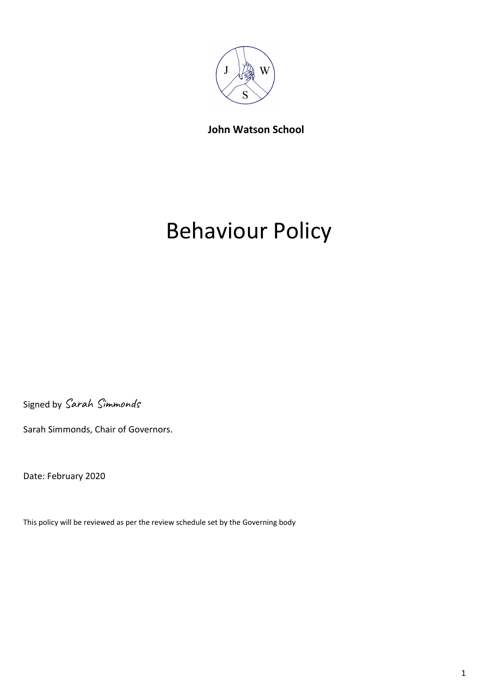

**John Watson School**

# Behaviour Policy

Signed by Sarah Simmonds

Sarah Simmonds, Chair of Governors.

Date: February 2020

This policy will be reviewed as per the review schedule set by the Governing body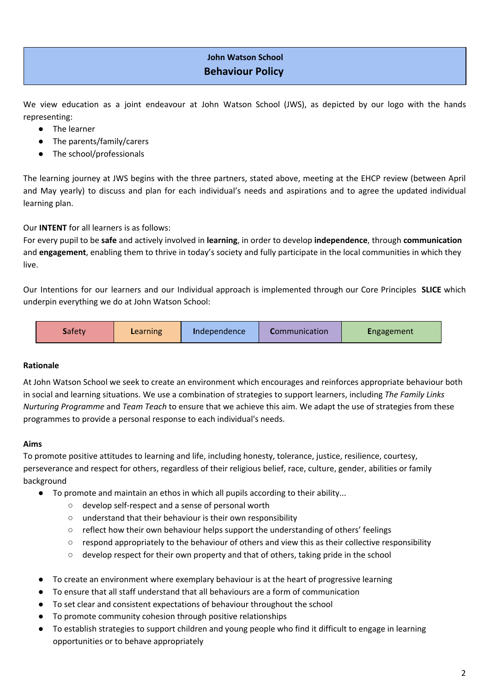## **John Watson School Behaviour Policy**

We view education as a joint endeavour at John Watson School (JWS), as depicted by our logo with the hands representing:

- The learner
- The parents/family/carers
- The school/professionals

The learning journey at JWS begins with the three partners, stated above, meeting at the EHCP review (between April and May yearly) to discuss and plan for each individual's needs and aspirations and to agree the updated individual learning plan.

Our **INTENT** for all learners is as follows:

For every pupil to be **safe** and actively involved in **learning**, in order to develop **independence**, through **communication** and **engagement**, enabling them to thrive in today's society and fully participate in the local communities in which they live.

Our Intentions for our learners and our Individual approach is implemented through our Core Principles **SLICE** which underpin everything we do at John Watson School:

| <b>Safety</b><br><b>Communication</b><br><b>Engagement</b><br>Independence<br>Learning |
|----------------------------------------------------------------------------------------|
|----------------------------------------------------------------------------------------|

## **Rationale**

At John Watson School we seek to create an environment which encourages and reinforces appropriate behaviour both in social and learning situations. We use a combination of strategies to support learners, including *The Family Links Nurturing Programme* and *Team Teach* to ensure that we achieve this aim. We adapt the use of strategies from these programmes to provide a personal response to each individual's needs.

## **Aims**

To promote positive attitudes to learning and life, including honesty, tolerance, justice, resilience, courtesy, perseverance and respect for others, regardless of their religious belief, race, culture, gender, abilities or family background

- To promote and maintain an ethos in which all pupils according to their ability...
	- develop self-respect and a sense of personal worth
	- understand that their behaviour is their own responsibility
	- reflect how their own behaviour helps support the understanding of others' feelings
	- respond appropriately to the behaviour of others and view this as their collective responsibility
	- develop respect for their own property and that of others, taking pride in the school
- To create an environment where exemplary behaviour is at the heart of progressive learning
- To ensure that all staff understand that all behaviours are a form of communication
- To set clear and consistent expectations of behaviour throughout the school
- To promote community cohesion through positive relationships
- To establish strategies to support children and young people who find it difficult to engage in learning opportunities or to behave appropriately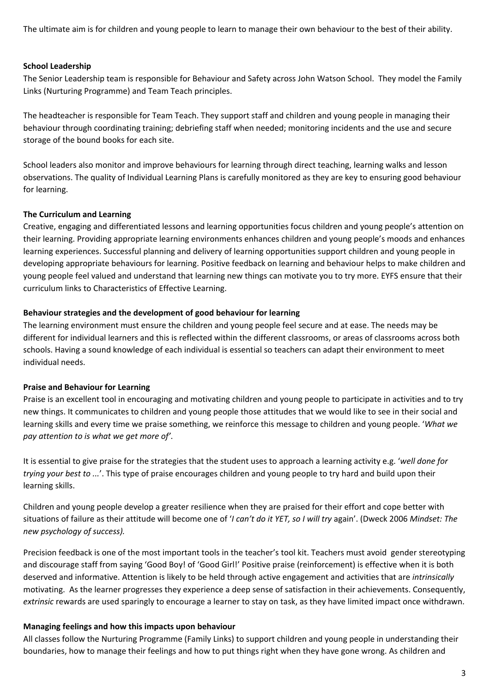The ultimate aim is for children and young people to learn to manage their own behaviour to the best of their ability.

## **School Leadership**

The Senior Leadership team is responsible for Behaviour and Safety across John Watson School. They model the Family Links (Nurturing Programme) and Team Teach principles.

The headteacher is responsible for Team Teach. They support staff and children and young people in managing their behaviour through coordinating training; debriefing staff when needed; monitoring incidents and the use and secure storage of the bound books for each site.

School leaders also monitor and improve behaviours for learning through direct teaching, learning walks and lesson observations. The quality of Individual Learning Plans is carefully monitored as they are key to ensuring good behaviour for learning.

#### **The Curriculum and Learning**

Creative, engaging and differentiated lessons and learning opportunities focus children and young people's attention on their learning. Providing appropriate learning environments enhances children and young people's moods and enhances learning experiences. Successful planning and delivery of learning opportunities support children and young people in developing appropriate behaviours for learning. Positive feedback on learning and behaviour helps to make children and young people feel valued and understand that learning new things can motivate you to try more. EYFS ensure that their curriculum links to Characteristics of Effective Learning.

#### **Behaviour strategies and the development of good behaviour for learning**

The learning environment must ensure the children and young people feel secure and at ease. The needs may be different for individual learners and this is reflected within the different classrooms, or areas of classrooms across both schools. Having a sound knowledge of each individual is essential so teachers can adapt their environment to meet individual needs.

#### **Praise and Behaviour for Learning**

Praise is an excellent tool in encouraging and motivating children and young people to participate in activities and to try new things. It communicates to children and young people those attitudes that we would like to see in their social and learning skills and every time we praise something, we reinforce this message to children and young people. '*What we pay attention to is what we get more of'*.

It is essential to give praise for the strategies that the student uses to approach a learning activity e.g. '*well done for trying your best to ...*'. This type of praise encourages children and young people to try hard and build upon their learning skills.

Children and young people develop a greater resilience when they are praised for their effort and cope better with situations of failure as their attitude will become one of '*I can't do it YET, so I will try* again'. (Dweck 2006 *Mindset: The new psychology of success).*

Precision feedback is one of the most important tools in the teacher's tool kit. Teachers must avoid gender stereotyping and discourage staff from saying 'Good Boy! of 'Good Girl!' Positive praise (reinforcement) is effective when it is both deserved and informative. Attention is likely to be held through active engagement and activities that are *intrinsically* motivating. As the learner progresses they experience a deep sense of satisfaction in their achievements. Consequently, *extrinsic* rewards are used sparingly to encourage a learner to stay on task, as they have limited impact once withdrawn.

#### **Managing feelings and how this impacts upon behaviour**

All classes follow the Nurturing Programme (Family Links) to support children and young people in understanding their boundaries, how to manage their feelings and how to put things right when they have gone wrong. As children and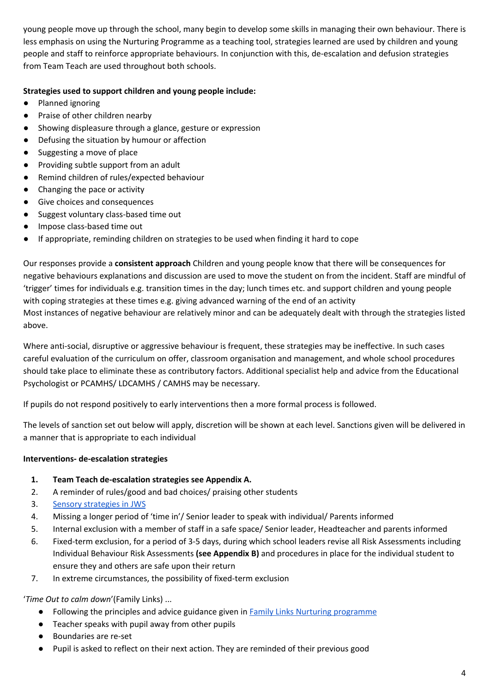young people move up through the school, many begin to develop some skills in managing their own behaviour. There is less emphasis on using the Nurturing Programme as a teaching tool, strategies learned are used by children and young people and staff to reinforce appropriate behaviours. In conjunction with this, de-escalation and defusion strategies from Team Teach are used throughout both schools.

## **Strategies used to support children and young people include:**

- Planned ignoring
- Praise of other children nearby
- Showing displeasure through a glance, gesture or expression
- Defusing the situation by humour or affection
- Suggesting a move of place
- Providing subtle support from an adult
- Remind children of rules/expected behaviour
- Changing the pace or activity
- Give choices and consequences
- Suggest voluntary class-based time out
- Impose class-based time out
- If appropriate, reminding children on strategies to be used when finding it hard to cope

Our responses provide a **consistent approach** Children and young people know that there will be consequences for negative behaviours explanations and discussion are used to move the student on from the incident. Staff are mindful of 'trigger' times for individuals e.g. transition times in the day; lunch times etc. and support children and young people with coping strategies at these times e.g. giving advanced warning of the end of an activity Most instances of negative behaviour are relatively minor and can be adequately dealt with through the strategies listed above.

Where anti-social, disruptive or aggressive behaviour is frequent, these strategies may be ineffective. In such cases careful evaluation of the curriculum on offer, classroom organisation and management, and whole school procedures should take place to eliminate these as contributory factors. Additional specialist help and advice from the Educational Psychologist or PCAMHS/ LDCAMHS / CAMHS may be necessary.

If pupils do not respond positively to early interventions then a more formal process is followed.

The levels of sanction set out below will apply, discretion will be shown at each level. Sanctions given will be delivered in a manner that is appropriate to each individual

## **Interventions- de-escalation strategies**

- **1. Team Teach de-escalation strategies see Appendix A.**
- 2. A reminder of rules/good and bad choices/ praising other students
- 3. Sensory [strategies](https://docs.google.com/document/d/1byZr0Y9v0-EThhVICL-9xiBqZwtXxVv70e15A7piriY/edit) in JWS
- 4. Missing a longer period of 'time in'/ Senior leader to speak with individual/ Parents informed
- 5. Internal exclusion with a member of staff in a safe space/ Senior leader, Headteacher and parents informed
- 6. Fixed-term exclusion, for a period of 3-5 days, during which school leaders revise all Risk Assessments including Individual Behaviour Risk Assessments **(see Appendix B)** and procedures in place for the individual student to ensure they and others are safe upon their return
- 7. In extreme circumstances, the possibility of fixed-term exclusion

'*Time Out to calm down*'(Family Links) ...

- Following the principles and advice guidance given in Family Links Nurturing [programme](https://www.familylinks.org.uk/)
- Teacher speaks with pupil away from other pupils
- Boundaries are re-set
- Pupil is asked to reflect on their next action. They are reminded of their previous good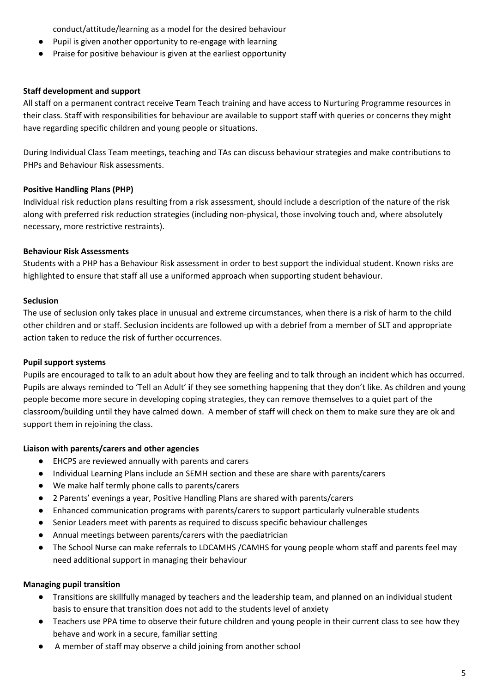conduct/attitude/learning as a model for the desired behaviour

- Pupil is given another opportunity to re-engage with learning
- Praise for positive behaviour is given at the earliest opportunity

#### **Staff development and support**

All staff on a permanent contract receive Team Teach training and have access to Nurturing Programme resources in their class. Staff with responsibilities for behaviour are available to support staff with queries or concerns they might have regarding specific children and young people or situations.

During Individual Class Team meetings, teaching and TAs can discuss behaviour strategies and make contributions to PHPs and Behaviour Risk assessments.

## **Positive Handling Plans (PHP)**

Individual risk reduction plans resulting from a risk assessment, should include a description of the nature of the risk along with preferred risk reduction strategies (including non-physical, those involving touch and, where absolutely necessary, more restrictive restraints).

## **Behaviour Risk Assessments**

Students with a PHP has a Behaviour Risk assessment in order to best support the individual student. Known risks are highlighted to ensure that staff all use a uniformed approach when supporting student behaviour.

## **Seclusion**

The use of seclusion only takes place in unusual and extreme circumstances, when there is a risk of harm to the child other children and or staff. Seclusion incidents are followed up with a debrief from a member of SLT and appropriate action taken to reduce the risk of further occurrences.

#### **Pupil support systems**

Pupils are encouraged to talk to an adult about how they are feeling and to talk through an incident which has occurred. Pupils are always reminded to 'Tell an Adult' **i**f they see something happening that they don't like. As children and young people become more secure in developing coping strategies, they can remove themselves to a quiet part of the classroom/building until they have calmed down. A member of staff will check on them to make sure they are ok and support them in rejoining the class.

#### **Liaison with parents/carers and other agencies**

- EHCPS are reviewed annually with parents and carers
- Individual Learning Plans include an SEMH section and these are share with parents/carers
- We make half termly phone calls to parents/carers
- 2 Parents' evenings a year, Positive Handling Plans are shared with parents/carers
- Enhanced communication programs with parents/carers to support particularly vulnerable students
- Senior Leaders meet with parents as required to discuss specific behaviour challenges
- Annual meetings between parents/carers with the paediatrician
- The School Nurse can make referrals to LDCAMHS /CAMHS for young people whom staff and parents feel may need additional support in managing their behaviour

#### **Managing pupil transition**

- Transitions are skillfully managed by teachers and the leadership team, and planned on an individual student basis to ensure that transition does not add to the students level of anxiety
- Teachers use PPA time to observe their future children and young people in their current class to see how they behave and work in a secure, familiar setting
- A member of staff may observe a child joining from another school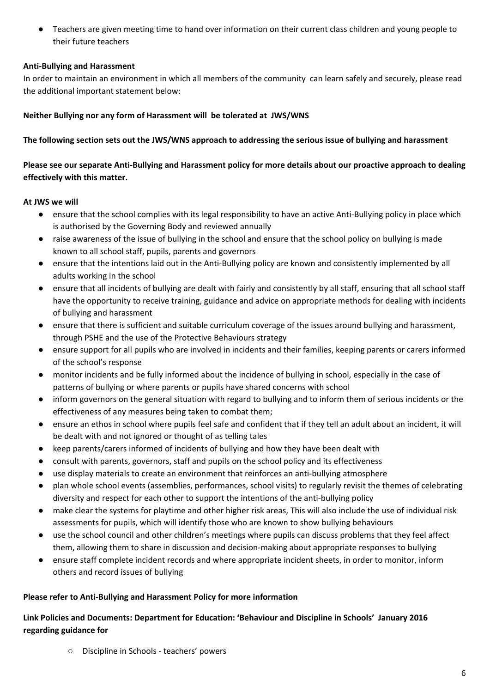● Teachers are given meeting time to hand over information on their current class children and young people to their future teachers

## **Anti-Bullying and Harassment**

In order to maintain an environment in which all members of the community can learn safely and securely, please read the additional important statement below:

## **Neither Bullying nor any form of Harassment will be tolerated at JWS/WNS**

## The following section sets out the JWS/WNS approach to addressing the serious issue of bullying and harassment

## Please see our separate Anti-Bullying and Harassment policy for more details about our proactive approach to dealing **effectively with this matter.**

## **At JWS we will**

- ensure that the school complies with its legal responsibility to have an active Anti-Bullying policy in place which is authorised by the Governing Body and reviewed annually
- raise awareness of the issue of bullying in the school and ensure that the school policy on bullying is made known to all school staff, pupils, parents and governors
- ensure that the intentions laid out in the Anti-Bullying policy are known and consistently implemented by all adults working in the school
- ensure that all incidents of bullying are dealt with fairly and consistently by all staff, ensuring that all school staff have the opportunity to receive training, guidance and advice on appropriate methods for dealing with incidents of bullying and harassment
- ensure that there is sufficient and suitable curriculum coverage of the issues around bullying and harassment, through PSHE and the use of the Protective Behaviours strategy
- ensure support for all pupils who are involved in incidents and their families, keeping parents or carers informed of the school's response
- monitor incidents and be fully informed about the incidence of bullying in school, especially in the case of patterns of bullying or where parents or pupils have shared concerns with school
- inform governors on the general situation with regard to bullying and to inform them of serious incidents or the effectiveness of any measures being taken to combat them;
- ensure an ethos in school where pupils feel safe and confident that if they tell an adult about an incident, it will be dealt with and not ignored or thought of as telling tales
- keep parents/carers informed of incidents of bullying and how they have been dealt with
- consult with parents, governors, staff and pupils on the school policy and its effectiveness
- use display materials to create an environment that reinforces an anti-bullying atmosphere
- plan whole school events (assemblies, performances, school visits) to regularly revisit the themes of celebrating diversity and respect for each other to support the intentions of the anti-bullying policy
- make clear the systems for playtime and other higher risk areas, This will also include the use of individual risk assessments for pupils, which will identify those who are known to show bullying behaviours
- use the school council and other children's meetings where pupils can discuss problems that they feel affect them, allowing them to share in discussion and decision-making about appropriate responses to bullying
- ensure staff complete incident records and where appropriate incident sheets, in order to monitor, inform others and record issues of bullying

## **Please refer to Anti-Bullying and Harassment Policy for more information**

## **Link Policies and Documents: Department for Education: 'Behaviour and Discipline in Schools' January 2016 regarding guidance for**

○ Discipline in Schools - teachers' powers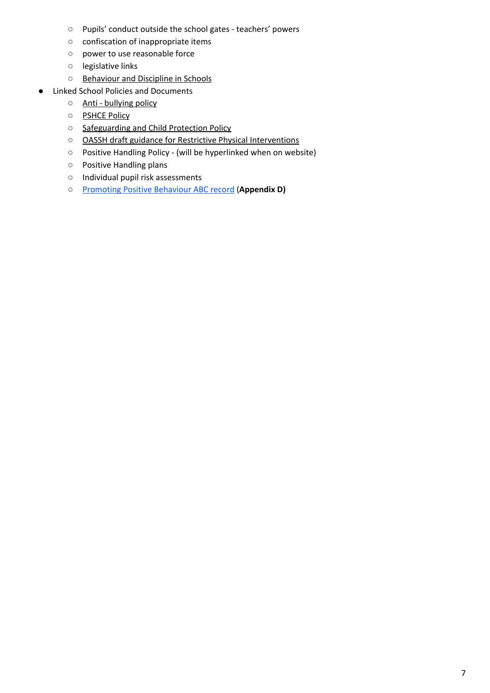- Pupils' conduct outside the school gates teachers' powers
- confiscation of inappropriate items
- power to use reasonable force
- legislative links
- [Behaviour](https://www.gov.uk/government/uploads/system/uploads/attachment_data/file/353921/Behaviour_and_Discipline_in_Schools_-_A_guide_for_headteachers_and_school_staff.pdf) and Discipline in Schools
- **Linked School Policies and Documents** 
	- Anti [bullying](http://www.johnwatsonschool.org/governance/policies/antibullying-policy/) policy
	- [PSHCE](http://www.johnwatsonschool.org/governance/policies/psche-policy/) Policy
	- [Safeguarding](http://www.johnwatsonschool.org/governance/policies/safeguarding-policy/) and Child Protection Policy
	- OASSH draft guidance for Restrictive Physical [Interventions](https://docs.google.com/a/johnwatsonschool.org/document/d/19r2wXd30AYs6I1q2opuZrKNU_qREnSSI01YaXBytgAU/edit)
	- Positive Handling Policy (will be hyperlinked when on website)
	- Positive Handling plans
	- Individual pupil risk assessments
	- [Promoting](https://docs.google.com/document/d/1TiqZXbiDl4WIKqqBe9KyLZM7La2n9VeYlHbCflBg-ng/edit?ts=5e428db2) Positive Behaviour ABC record (**Appendix D)**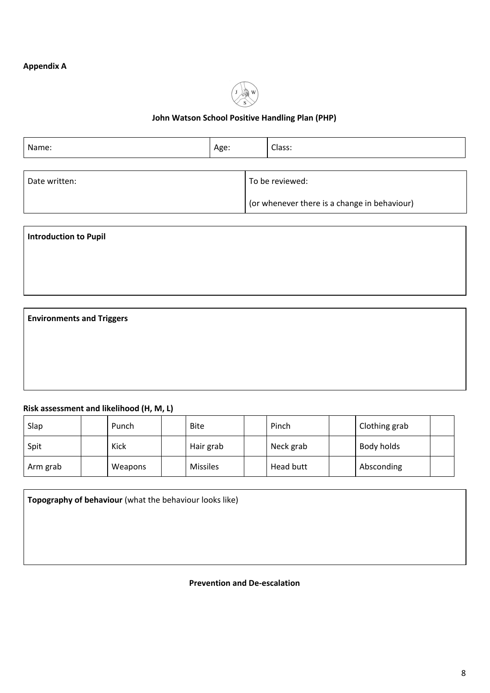## **Appendix A**



## **John Watson School Positive Handling Plan (PHP)**

| Name:         | Age: |  | Class:                                       |
|---------------|------|--|----------------------------------------------|
|               |      |  |                                              |
| Date written: |      |  | To be reviewed:                              |
|               |      |  | (or whenever there is a change in behaviour) |

**Introduction to Pupil**

**Environments and Triggers**

## **Risk assessment and likelihood (H, M, L)**

| Slap     | Punch   | <b>Bite</b>     | Pinch     | Clothing grab |  |
|----------|---------|-----------------|-----------|---------------|--|
| Spit     | Kick    | Hair grab       | Neck grab | Body holds    |  |
| Arm grab | Weapons | <b>Missiles</b> | Head butt | Absconding    |  |

| Topography of behaviour (what the behaviour looks like) |  |
|---------------------------------------------------------|--|
|                                                         |  |
|                                                         |  |
|                                                         |  |

## **Prevention and De-escalation**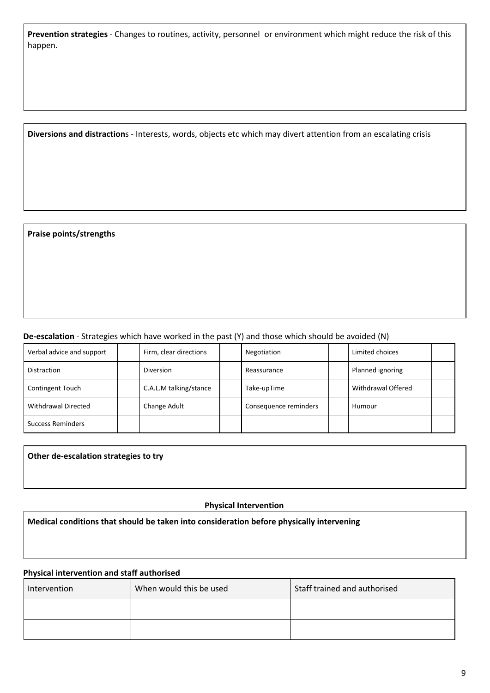| Prevention strategies - Changes to routines, activity, personnel or environment which might reduce the risk of this |  |  |
|---------------------------------------------------------------------------------------------------------------------|--|--|
| happen.                                                                                                             |  |  |

**Diversions and distraction**s - Interests, words, objects etc which may divert attention from an escalating crisis

## **Praise points/strengths**

## **De-escalation** - Strategies which have worked in the past (Y) and those which should be avoided (N)

| Verbal advice and support  | Firm, clear directions | Negotiation           | Limited choices    |  |
|----------------------------|------------------------|-----------------------|--------------------|--|
| <b>Distraction</b>         | Diversion              | Reassurance           | Planned ignoring   |  |
| <b>Contingent Touch</b>    | C.A.L.M talking/stance | Take-upTime           | Withdrawal Offered |  |
| <b>Withdrawal Directed</b> | Change Adult           | Consequence reminders | Humour             |  |
| <b>Success Reminders</b>   |                        |                       |                    |  |

## **Other de-escalation strategies to try**

## **Physical Intervention**

## **Medical conditions that should be taken into consideration before physically intervening**

## **Physical intervention and staff authorised**

| Intervention | When would this be used | Staff trained and authorised |
|--------------|-------------------------|------------------------------|
|              |                         |                              |
|              |                         |                              |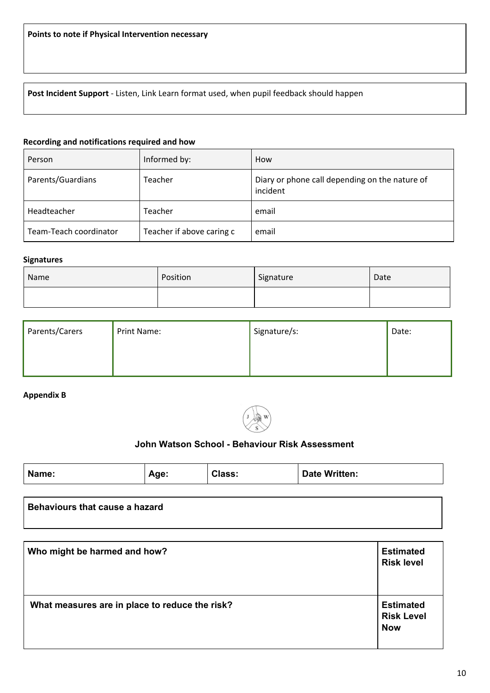**Post Incident Support** - Listen, Link Learn format used, when pupil feedback should happen

## **Recording and notifications required and how**

| Person                 | Informed by:              | How                                                        |
|------------------------|---------------------------|------------------------------------------------------------|
| Parents/Guardians      | Teacher                   | Diary or phone call depending on the nature of<br>incident |
| Headteacher            | Teacher                   | email                                                      |
| Team-Teach coordinator | Teacher if above caring c | email                                                      |

#### **Signatures**

| Name | Position | Signature | Date |
|------|----------|-----------|------|
|      |          |           |      |

| Parents/Carers | Print Name: | Signature/s: | Date: |
|----------------|-------------|--------------|-------|
|                |             |              |       |
|                |             |              |       |

## **Appendix B**



## **John Watson School - Behaviour Risk Assessment**

|  | Name: | Aae: | ∴lass: | Written:<br><b>Date</b> |
|--|-------|------|--------|-------------------------|
|--|-------|------|--------|-------------------------|

## **Behaviours that cause a hazard**

| Who might be harmed and how?                   | <b>Estimated</b><br><b>Risk level</b>               |
|------------------------------------------------|-----------------------------------------------------|
| What measures are in place to reduce the risk? | <b>Estimated</b><br><b>Risk Level</b><br><b>Now</b> |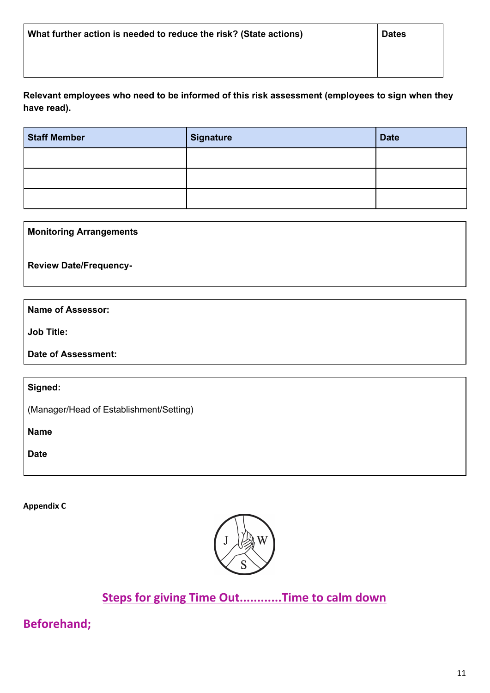**Relevant employees who need to be informed of this risk assessment (employees to sign when they have read).**

| <b>Staff Member</b> | <b>Signature</b> | <b>Date</b> |
|---------------------|------------------|-------------|
|                     |                  |             |
|                     |                  |             |
|                     |                  |             |

## **Monitoring Arrangements**

**Review Date/Frequency-**

## **Name of Assessor:**

**Job Title:**

**Date of Assessment:**

**Signed:**

(Manager/Head of Establishment/Setting)

**Name**

**Date**

**Appendix C**



## **Steps for giving Time Out............Time to calm down**

**Beforehand;**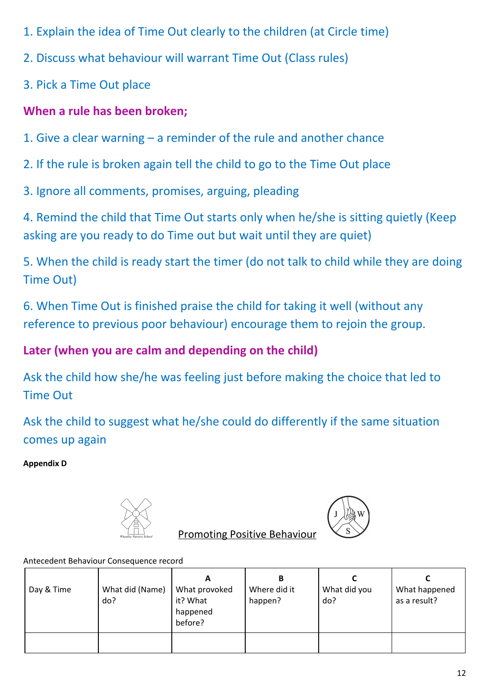- 1. Explain the idea of Time Out clearly to the children (at Circle time)
- 2. Discuss what behaviour will warrant Time Out (Class rules)
- 3. Pick a Time Out place

# **When a rule has been broken;**

- 1. Give a clear warning a reminder of the rule and another chance
- 2. If the rule is broken again tell the child to go to the Time Out place
- 3. Ignore all comments, promises, arguing, pleading

4. Remind the child that Time Out starts only when he/she is sitting quietly (Keep asking are you ready to do Time out but wait until they are quiet)

5. When the child is ready start the timer (do not talk to child while they are doing Time Out)

6. When Time Out is finished praise the child for taking it well (without any reference to previous poor behaviour) encourage them to rejoin the group.

# **Later (when you are calm and depending on the child)**

Ask the child how she/he was feeling just before making the choice that led to Time Out

Ask the child to suggest what he/she could do differently if the same situation comes up again

**Appendix D**





Promoting Positive Behaviour

Antecedent Behaviour Consequence record

| Day & Time | What did (Name)<br>do? | А<br>What provoked<br>it? What<br>happened<br>before? | в<br>Where did it<br>happen? | What did you<br>do? | What happened<br>as a result? |
|------------|------------------------|-------------------------------------------------------|------------------------------|---------------------|-------------------------------|
|            |                        |                                                       |                              |                     |                               |